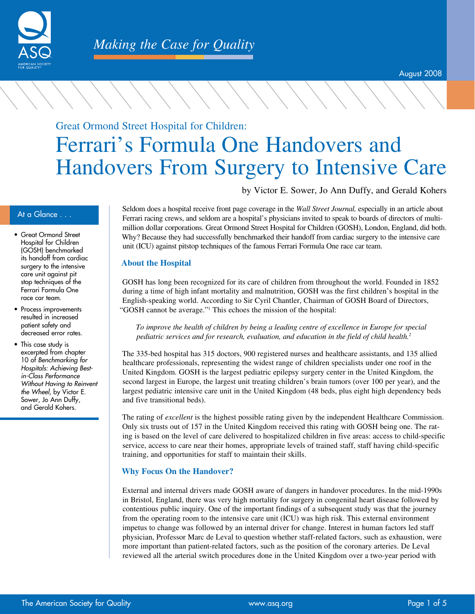

# Great Ormond Street Hospital for Children: Ferrari's Formula One Handovers and Handovers From Surgery to Intensive Care

by Victor E. Sower, Jo Ann Duffy, and Gerald Kohers

- Great Ormond Street Hospital for Children (GOSH) benchmarked its handoff from cardiac surgery to the intensive care unit against pit stop techniques of the Ferrari Formula One race car team.
- Process improvements resulted in increased patient safety and decreased error rates.
- This case study is excerpted from chapter 10 of Benchmarking for Hospitals: Achieving Bestin-Class Performance Without Having to Reinvent the Wheel, by Victor E. Sower, Jo Ann Duffy, and Gerald Kohers.

At a Glance . . . Seldom does a hospital receive front page coverage in the *Wall Street Journal,* especially in an article about Ferrari racing crews, and seldom are a hospital's physicians invited to speak to boards of directors of multimillion dollar corporations. Great Ormond Street Hospital for Children (GOSH), London, England, did both. Why? Because they had successfully benchmarked their handoff from cardiac surgery to the intensive care unit (ICU) against pitstop techniques of the famous Ferrari Formula One race car team.

# **About the Hospital**

GOSH has long been recognized for its care of children from throughout the world. Founded in 1852 during a time of high infant mortality and malnutrition, GOSH was the first children's hospital in the English-speaking world. According to Sir Cyril Chantler, Chairman of GOSH Board of Directors, "GOSH cannot be average."<sup>1</sup> This echoes the mission of the hospital:

*To improve the health of children by being a leading centre of excellence in Europe for special pediatric services and for research, evaluation, and education in the field of child health.<sup>2</sup>*

The 335-bed hospital has 315 doctors, 900 registered nurses and healthcare assistants, and 135 allied healthcare professionals, representing the widest range of children specialists under one roof in the United Kingdom. GOSH is the largest pediatric epilepsy surgery center in the United Kingdom, the second largest in Europe, the largest unit treating children's brain tumors (over 100 per year), and the largest pediatric intensive care unit in the United Kingdom (48 beds, plus eight high dependency beds and five transitional beds).

The rating of *excellent* is the highest possible rating given by the independent Healthcare Commission. Only six trusts out of 157 in the United Kingdom received this rating with GOSH being one. The rating is based on the level of care delivered to hospitalized children in five areas: access to child-specific service, access to care near their homes, appropriate levels of trained staff, staff having child-specific training, and opportunities for staff to maintain their skills.

# **Why Focus On the Handover?**

External and internal drivers made GOSH aware of dangers in handover procedures. In the mid-1990s in Bristol, England, there was very high mortality for surgery in congenital heart disease followed by contentious public inquiry. One of the important findings of a subsequent study was that the journey from the operating room to the intensive care unit (ICU) was high risk. This external environment impetus to change was followed by an internal driver for change. Interest in human factors led staff physician, Professor Marc de Leval to question whether staff-related factors, such as exhaustion, were more important than patient-related factors, such as the position of the coronary arteries. De Leval reviewed all the arterial switch procedures done in the United Kingdom over a two-year period with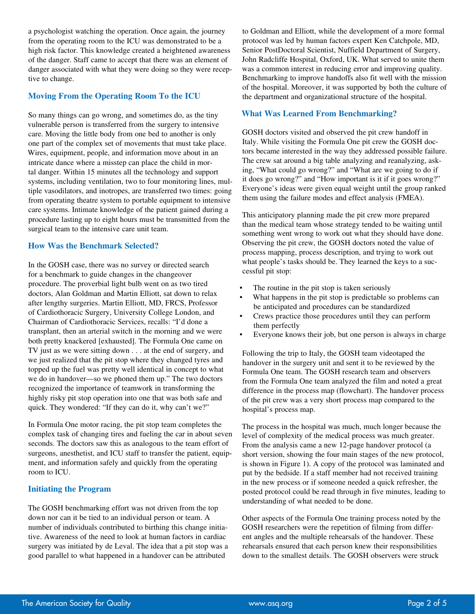a psychologist watching the operation. Once again, the journey from the operating room to the ICU was demonstrated to be a high risk factor. This knowledge created a heightened awareness of the danger. Staff came to accept that there was an element of danger associated with what they were doing so they were receptive to change.

# **Moving From the Operating Room To the ICU**

So many things can go wrong, and sometimes do, as the tiny vulnerable person is transferred from the surgery to intensive care. Moving the little body from one bed to another is only one part of the complex set of movements that must take place. Wires, equipment, people, and information move about in an intricate dance where a misstep can place the child in mortal danger. Within 15 minutes all the technology and support systems, including ventilation, two to four monitoring lines, multiple vasodilators, and inotropes, are transferred two times: going from operating theatre system to portable equipment to intensive care systems. Intimate knowledge of the patient gained during a procedure lasting up to eight hours must be transmitted from the surgical team to the intensive care unit team.

### **How Was the Benchmark Selected?**

In the GOSH case, there was no survey or directed search for a benchmark to guide changes in the changeover procedure. The proverbial light bulb went on as two tired doctors, Alan Goldman and Martin Elliott, sat down to relax after lengthy surgeries. Martin Elliott, MD, FRCS, Professor of Cardiothoracic Surgery, University College London, and Chairman of Cardiothoracic Services, recalls: "I'd done a transplant, then an arterial switch in the morning and we were both pretty knackered [exhausted]. The Formula One came on TV just as we were sitting down . . . at the end of surgery, and we just realized that the pit stop where they changed tyres and topped up the fuel was pretty well identical in concept to what we do in handover—so we phoned them up." The two doctors recognized the importance of teamwork in transforming the highly risky pit stop operation into one that was both safe and quick. They wondered: "If they can do it, why can't we?"

In Formula One motor racing, the pit stop team completes the complex task of changing tires and fueling the car in about seven seconds. The doctors saw this as analogous to the team effort of surgeons, anesthetist, and ICU staff to transfer the patient, equipment, and information safely and quickly from the operating room to ICU.

## **Initiating the Program**

The GOSH benchmarking effort was not driven from the top down nor can it be tied to an individual person or team. A number of individuals contributed to birthing this change initiative. Awareness of the need to look at human factors in cardiac surgery was initiated by de Leval. The idea that a pit stop was a good parallel to what happened in a handover can be attributed

to Goldman and Elliott, while the development of a more formal protocol was led by human factors expert Ken Catchpole, MD, Senior PostDoctoral Scientist, Nuffield Department of Surgery, John Radcliffe Hospital, Oxford, UK. What served to unite them was a common interest in reducing error and improving quality. Benchmarking to improve handoffs also fit well with the mission of the hospital. Moreover, it was supported by both the culture of the department and organizational structure of the hospital.

# **What Was Learned From Benchmarking?**

GOSH doctors visited and observed the pit crew handoff in Italy. While visiting the Formula One pit crew the GOSH doctors became interested in the way they addressed possible failure. The crew sat around a big table analyzing and reanalyzing, asking, "What could go wrong?" and "What are we going to do if it does go wrong?" and "How important is it if it goes wrong?" Everyone's ideas were given equal weight until the group ranked them using the failure modes and effect analysis (FMEA).

This anticipatory planning made the pit crew more prepared than the medical team whose strategy tended to be waiting until something went wrong to work out what they should have done. Observing the pit crew, the GOSH doctors noted the value of process mapping, process description, and trying to work out what people's tasks should be. They learned the keys to a successful pit stop:

- The routine in the pit stop is taken seriously
- What happens in the pit stop is predictable so problems can be anticipated and procedures can be standardized
- Crews practice those procedures until they can perform them perfectly
- Everyone knows their job, but one person is always in charge

Following the trip to Italy, the GOSH team videotaped the handover in the surgery unit and sent it to be reviewed by the Formula One team. The GOSH research team and observers from the Formula One team analyzed the film and noted a great difference in the process map (flowchart). The handover process of the pit crew was a very short process map compared to the hospital's process map.

The process in the hospital was much, much longer because the level of complexity of the medical process was much greater. From the analysis came a new 12-page handover protocol (a short version, showing the four main stages of the new protocol, is shown in Figure 1). A copy of the protocol was laminated and put by the bedside. If a staff member had not received training in the new process or if someone needed a quick refresher, the posted protocol could be read through in five minutes, leading to understanding of what needed to be done.

Other aspects of the Formula One training process noted by the GOSH researchers were the repetition of filming from different angles and the multiple rehearsals of the handover. These rehearsals ensured that each person knew their responsibilities down to the smallest details. The GOSH observers were struck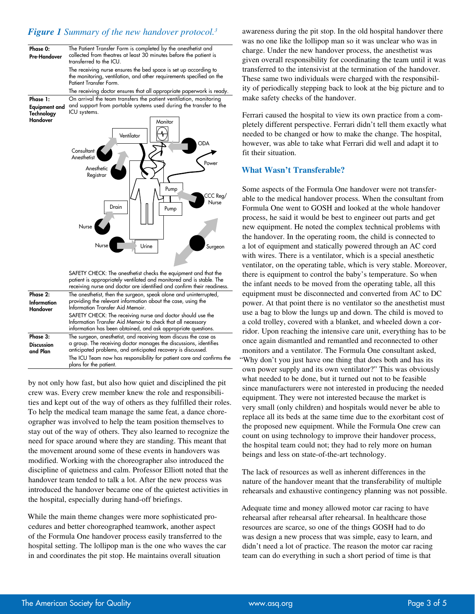# *Figure 1 Summary of the new handover protocol.<sup>3</sup>*

| Phase 0:<br>Pre-Handover                   | The Patient Transfer Form is completed by the anesthetist and<br>collected from theatres at least 30 minutes before the patient is<br>transferred to the ICU.                                                     |
|--------------------------------------------|-------------------------------------------------------------------------------------------------------------------------------------------------------------------------------------------------------------------|
|                                            | The receiving nurse ensures the bed space is set up according to<br>the monitoring, ventilation, and other requirements specified on the<br>Patient Transfer Form.                                                |
|                                            | The receiving doctor ensures that all appropriate paperwork is ready.                                                                                                                                             |
| Phase 1:<br>Equipment and<br>Technology    | On arrival the team transfers the patient ventilation, monitoring<br>and support from portable systems used during the transfer to the<br>ICU systems.                                                            |
| Handover                                   | Monitor<br>Ventilator                                                                                                                                                                                             |
|                                            | <b>ODA</b><br>Consultant<br>Anesthetist<br>Power                                                                                                                                                                  |
|                                            | Anesthetic<br>Registrar<br>Pump                                                                                                                                                                                   |
|                                            | CCC Reg/<br>Nurse<br>Drain<br>Pump                                                                                                                                                                                |
|                                            | <b>Nurse</b>                                                                                                                                                                                                      |
|                                            | Nurse<br>Urine<br>Surgeon                                                                                                                                                                                         |
|                                            | SAFETY CHECK: The anesthetist checks the equipment and that the<br>patient is appropriately ventilated and monitored and is stable. The<br>receiving nurse and doctor are identified and confirm their readiness. |
| Phase 2:<br><b>Information</b><br>Handover | The anesthetist, then the surgeon, speak alone and uninterrupted,<br>providing the relevant information about the case, using the<br>Information Transfer Aid Memoir.                                             |
|                                            | SAFETY CHECK: The receiving nurse and doctor should use the                                                                                                                                                       |

|                               | SAFETY CHECK: The receiving nurse and doctor should use the<br>Information Transfer Aid Memoir to check that all necessary<br>information has been obtained, and ask appropriate questions. |
|-------------------------------|---------------------------------------------------------------------------------------------------------------------------------------------------------------------------------------------|
| Phase 3:                      | The surgeon, anesthetist, and receiving team discuss the case as                                                                                                                            |
| <b>Discussion</b><br>and Plan | a group. The receiving doctor manages the discussions, identifies<br>anticipated problems, and anticipated recovery is discussed.                                                           |
|                               | The ICU Team now has responsibility for patient care and confirms the<br>plans for the patient.                                                                                             |

by not only how fast, but also how quiet and disciplined the pit crew was. Every crew member knew the role and responsibilities and kept out of the way of others as they fulfilled their roles. To help the medical team manage the same feat, a dance choreographer was involved to help the team position themselves to stay out of the way of others. They also learned to recognize the need for space around where they are standing. This meant that the movement around some of these events in handovers was modified. Working with the choreographer also introduced the discipline of quietness and calm. Professor Elliott noted that the handover team tended to talk a lot. After the new process was introduced the handover became one of the quietest activities in the hospital, especially during hand-off briefings.

While the main theme changes were more sophisticated procedures and better choreographed teamwork, another aspect of the Formula One handover process easily transferred to the hospital setting. The lollipop man is the one who waves the car in and coordinates the pit stop. He maintains overall situation

awareness during the pit stop. In the old hospital handover there was no one like the lollipop man so it was unclear who was in charge. Under the new handover process, the anesthetist was given overall responsibility for coordinating the team until it was transferred to the intensivist at the termination of the handover. These same two individuals were charged with the responsibility of periodically stepping back to look at the big picture and to make safety checks of the handover.

Ferrari caused the hospital to view its own practice from a completely different perspective. Ferrari didn't tell them exactly what needed to be changed or how to make the change. The hospital, however, was able to take what Ferrari did well and adapt it to fit their situation.

# **What Wasn't Transferable?**

Some aspects of the Formula One handover were not transferable to the medical handover process. When the consultant from Formula One went to GOSH and looked at the whole handover process, he said it would be best to engineer out parts and get new equipment. He noted the complex technical problems with the handover. In the operating room, the child is connected to a lot of equipment and statically powered through an AC cord with wires. There is a ventilator, which is a special anesthetic ventilator, on the operating table, which is very stable. Moreover, there is equipment to control the baby's temperature. So when the infant needs to be moved from the operating table, all this equipment must be disconnected and converted from AC to DC power. At that point there is no ventilator so the anesthetist must use a bag to blow the lungs up and down. The child is moved to a cold trolley, covered with a blanket, and wheeled down a corridor. Upon reaching the intensive care unit, everything has to be once again dismantled and remantled and reconnected to other monitors and a ventilator. The Formula One consultant asked, "Why don't you just have one thing that does both and has its own power supply and its own ventilator?" This was obviously what needed to be done, but it turned out not to be feasible since manufacturers were not interested in producing the needed equipment. They were not interested because the market is very small (only children) and hospitals would never be able to replace all its beds at the same time due to the exorbitant cost of the proposed new equipment. While the Formula One crew can count on using technology to improve their handover process, the hospital team could not; they had to rely more on human beings and less on state-of-the-art technology.

The lack of resources as well as inherent differences in the nature of the handover meant that the transferability of multiple rehearsals and exhaustive contingency planning was not possible.

Adequate time and money allowed motor car racing to have rehearsal after rehearsal after rehearsal. In healthcare those resources are scarce, so one of the things GOSH had to do was design a new process that was simple, easy to learn, and didn't need a lot of practice. The reason the motor car racing team can do everything in such a short period of time is that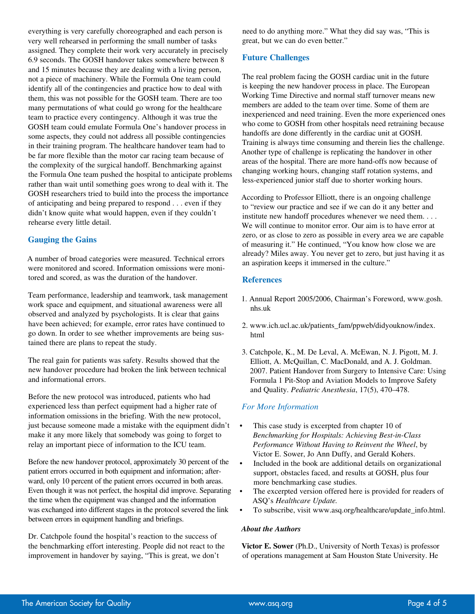everything is very carefully choreographed and each person is very well rehearsed in performing the small number of tasks assigned. They complete their work very accurately in precisely 6.9 seconds. The GOSH handover takes somewhere between 8 and 15 minutes because they are dealing with a living person, not a piece of machinery. While the Formula One team could identify all of the contingencies and practice how to deal with them, this was not possible for the GOSH team. There are too many permutations of what could go wrong for the healthcare team to practice every contingency. Although it was true the GOSH team could emulate Formula One's handover process in some aspects, they could not address all possible contingencies in their training program. The healthcare handover team had to be far more flexible than the motor car racing team because of the complexity of the surgical handoff. Benchmarking against the Formula One team pushed the hospital to anticipate problems rather than wait until something goes wrong to deal with it. The GOSH researchers tried to build into the process the importance of anticipating and being prepared to respond . . . even if they didn't know quite what would happen, even if they couldn't rehearse every little detail.

# **Gauging the Gains**

A number of broad categories were measured. Technical errors were monitored and scored. Information omissions were monitored and scored, as was the duration of the handover.

Team performance, leadership and teamwork, task management work space and equipment, and situational awareness were all observed and analyzed by psychologists. It is clear that gains have been achieved; for example, error rates have continued to go down. In order to see whether improvements are being sustained there are plans to repeat the study.

The real gain for patients was safety. Results showed that the new handover procedure had broken the link between technical and informational errors.

Before the new protocol was introduced, patients who had experienced less than perfect equipment had a higher rate of information omissions in the briefing. With the new protocol, just because someone made a mistake with the equipment didn't make it any more likely that somebody was going to forget to relay an important piece of information to the ICU team.

Before the new handover protocol, approximately 30 percent of the patient errors occurred in both equipment and information; afterward, only 10 percent of the patient errors occurred in both areas. Even though it was not perfect, the hospital did improve. Separating the time when the equipment was changed and the information was exchanged into different stages in the protocol severed the link between errors in equipment handling and briefings.

Dr. Catchpole found the hospital's reaction to the success of the benchmarking effort interesting. People did not react to the improvement in handover by saying, "This is great, we don't

need to do anything more." What they did say was, "This is great, but we can do even better."

# **Future Challenges**

The real problem facing the GOSH cardiac unit in the future is keeping the new handover process in place. The European Working Time Directive and normal staff turnover means new members are added to the team over time. Some of them are inexperienced and need training. Even the more experienced ones who come to GOSH from other hospitals need retraining because handoffs are done differently in the cardiac unit at GOSH. Training is always time consuming and therein lies the challenge. Another type of challenge is replicating the handover in other areas of the hospital. There are more hand-offs now because of changing working hours, changing staff rotation systems, and less-experienced junior staff due to shorter working hours.

According to Professor Elliott, there is an ongoing challenge to "review our practice and see if we can do it any better and institute new handoff procedures whenever we need them. . . . We will continue to monitor error. Our aim is to have error at zero, or as close to zero as possible in every area we are capable of measuring it." He continued, "You know how close we are already? Miles away. You never get to zero, but just having it as an aspiration keeps it immersed in the culture."

# **References**

- 1. Annual Report 2005/2006, Chairman's Foreword, www.gosh. nhs.uk
- 2. www.ich.ucl.ac.uk/patients\_fam/ppweb/didyouknow/index. html
- 3. Catchpole, K., M. De Leval, A. McEwan, N. J. Pigott, M. J. Elliott, A. McQuillan, C. MacDonald, and A. J. Goldman. 2007. Patient Handover from Surgery to Intensive Care: Using Formula 1 Pit-Stop and Aviation Models to Improve Safety and Quality. *Pediatric Anesthesia*, 17(5), 470–478.

# *For More Information*

- This case study is excerpted from chapter 10 of *Benchmarking for Hospitals: Achieving Best-in-Class Performance Without Having to Reinvent the Wheel*, by Victor E. Sower, Jo Ann Duffy, and Gerald Kohers.
- Included in the book are additional details on organizational support, obstacles faced, and results at GOSH, plus four more benchmarking case studies.
- The excerpted version offered here is provided for readers of ASQ's *Healthcare Update.*
- To subscribe, visit www.asq.org/healthcare/update\_info.html.

# *About the Authors*

**Victor E. Sower** (Ph.D., University of North Texas) is professor of operations management at Sam Houston State University. He